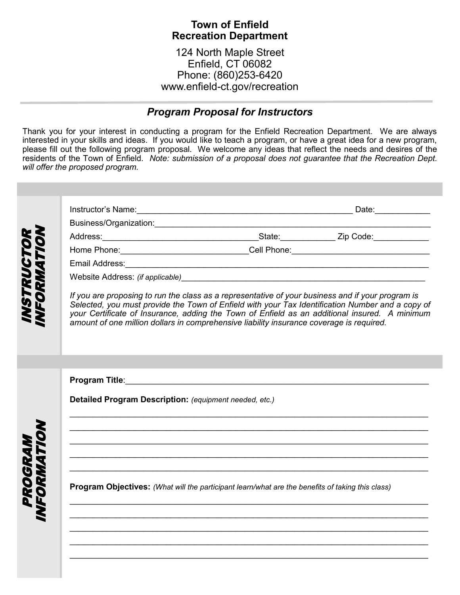## **Town of Enfield Recreation Department**

124 North Maple Street Enfield, CT 06082 Phone: (860)253-6420 www.enfield-ct.gov/recreation

## *Program Proposal for Instructors*

Thank you for your interest in conducting a program for the Enfield Recreation Department. We are always interested in your skills and ideas. If you would like to teach a program, or have a great idea for a new program, please fill out the following program proposal. We welcome any ideas that reflect the needs and desires of the residents of the Town of Enfield. *Note: submission of a proposal does not guarantee that the Recreation Dept. will offer the proposed program.*

|                                                           |                                                                                                                                                                                                                                                                                                                                                                                                    | Home Phone: _________________________________Cell Phone: _______________________                                                                                                                                               |  |  |  |  |
|-----------------------------------------------------------|----------------------------------------------------------------------------------------------------------------------------------------------------------------------------------------------------------------------------------------------------------------------------------------------------------------------------------------------------------------------------------------------------|--------------------------------------------------------------------------------------------------------------------------------------------------------------------------------------------------------------------------------|--|--|--|--|
|                                                           |                                                                                                                                                                                                                                                                                                                                                                                                    |                                                                                                                                                                                                                                |  |  |  |  |
|                                                           |                                                                                                                                                                                                                                                                                                                                                                                                    | Website Address: (if applicable) Manual Contract of the Contract of the Contract of the Contract of the Contract of the Contract of the Contract of the Contract of the Contract of the Contract of the Contract of the Contra |  |  |  |  |
|                                                           | If you are proposing to run the class as a representative of your business and if your program is<br>Selected, you must provide the Town of Enfield with your Tax Identification Number and a copy of<br>your Certificate of Insurance, adding the Town of Enfield as an additional insured. A minimum<br>amount of one million dollars in comprehensive liability insurance coverage is required. |                                                                                                                                                                                                                                |  |  |  |  |
|                                                           |                                                                                                                                                                                                                                                                                                                                                                                                    |                                                                                                                                                                                                                                |  |  |  |  |
| <i><b>VSTRUCTOI<br/>IFORMATIO</b></i><br>20GRAN<br>PRMATI |                                                                                                                                                                                                                                                                                                                                                                                                    |                                                                                                                                                                                                                                |  |  |  |  |
|                                                           | Detailed Program Description: (equipment needed, etc.)                                                                                                                                                                                                                                                                                                                                             |                                                                                                                                                                                                                                |  |  |  |  |
|                                                           |                                                                                                                                                                                                                                                                                                                                                                                                    |                                                                                                                                                                                                                                |  |  |  |  |
|                                                           |                                                                                                                                                                                                                                                                                                                                                                                                    |                                                                                                                                                                                                                                |  |  |  |  |
|                                                           |                                                                                                                                                                                                                                                                                                                                                                                                    |                                                                                                                                                                                                                                |  |  |  |  |
|                                                           |                                                                                                                                                                                                                                                                                                                                                                                                    | Program Objectives: (What will the participant learn/what are the benefits of taking this class)                                                                                                                               |  |  |  |  |
|                                                           |                                                                                                                                                                                                                                                                                                                                                                                                    |                                                                                                                                                                                                                                |  |  |  |  |
|                                                           |                                                                                                                                                                                                                                                                                                                                                                                                    |                                                                                                                                                                                                                                |  |  |  |  |
|                                                           |                                                                                                                                                                                                                                                                                                                                                                                                    |                                                                                                                                                                                                                                |  |  |  |  |
|                                                           |                                                                                                                                                                                                                                                                                                                                                                                                    |                                                                                                                                                                                                                                |  |  |  |  |